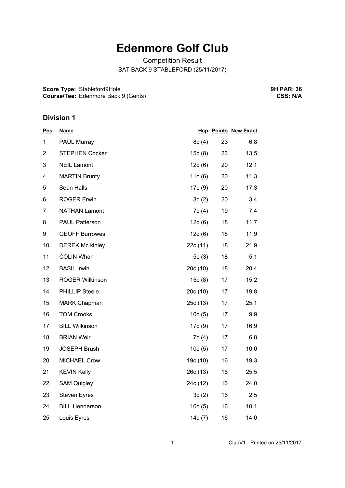## **Edenmore Golf Club**

Competition Result SAT BACK 9 STABLEFORD (25/11/2017)

**Score Type:** Stableford9Hole **Course/Tee:** Edenmore Back 9 (Gents) **9H PAR: 36 CSS: N/A**

## **Division 1**

| <u>Pos</u>     | <b>Name</b>            |          |    | <b>Hcp Points New Exact</b> |
|----------------|------------------------|----------|----|-----------------------------|
| 1              | <b>PAUL Murray</b>     | 8c(4)    | 23 | 6.8                         |
| $\overline{2}$ | <b>STEPHEN Cocker</b>  | 15c(8)   | 23 | 13.5                        |
| 3              | <b>NEIL Lamont</b>     | 12c(6)   | 20 | 12.1                        |
| 4              | <b>MARTIN Brunty</b>   | 11c(6)   | 20 | 11.3                        |
| 5              | Sean Halls             | 17c (9)  | 20 | 17.3                        |
| 6              | <b>ROGER Erwin</b>     | 3c(2)    | 20 | 3.4                         |
| 7              | <b>NATHAN Lamont</b>   | 7c(4)    | 19 | 7.4                         |
| 8              | <b>PAUL Patterson</b>  | 12c(6)   | 18 | 11.7                        |
| 9              | <b>GEOFF Burrowes</b>  | 12c(6)   | 18 | 11.9                        |
| 10             | <b>DEREK Mc kinley</b> | 22c (11) | 18 | 21.9                        |
| 11             | <b>COLIN Whan</b>      | 5 $c(3)$ | 18 | 5.1                         |
| 12             | <b>BASIL Irwin</b>     | 20c(10)  | 18 | 20.4                        |
| 13             | <b>ROGER Wilkinson</b> | 15c(8)   | 17 | 15.2                        |
| 14             | PHILLIP Steele         | 20c(10)  | 17 | 19.8                        |
| 15             | <b>MARK Chapman</b>    | 25c (13) | 17 | 25.1                        |
| 16             | <b>TOM Crooks</b>      | 10c(5)   | 17 | 9.9                         |
| 17             | <b>BILL Wilkinson</b>  | 17c (9)  | 17 | 16.9                        |
| 18             | <b>BRIAN Weir</b>      | 7c(4)    | 17 | 6.8                         |
| 19             | <b>JOSEPH Brush</b>    | 10c(5)   | 17 | 10.0                        |
| 20             | <b>MICHAEL Crow</b>    | 19c (10) | 16 | 19.3                        |
| 21             | <b>KEVIN Kelly</b>     | 26c (13) | 16 | 25.5                        |
| 22             | <b>SAM Quigley</b>     | 24c (12) | 16 | 24.0                        |
| 23             | <b>Steven Eyres</b>    | 3c(2)    | 16 | 2.5                         |
| 24             | <b>BILL Henderson</b>  | 10c(5)   | 16 | 10.1                        |
| 25             | Louis Eyres            | 14c (7)  | 16 | 14.0                        |